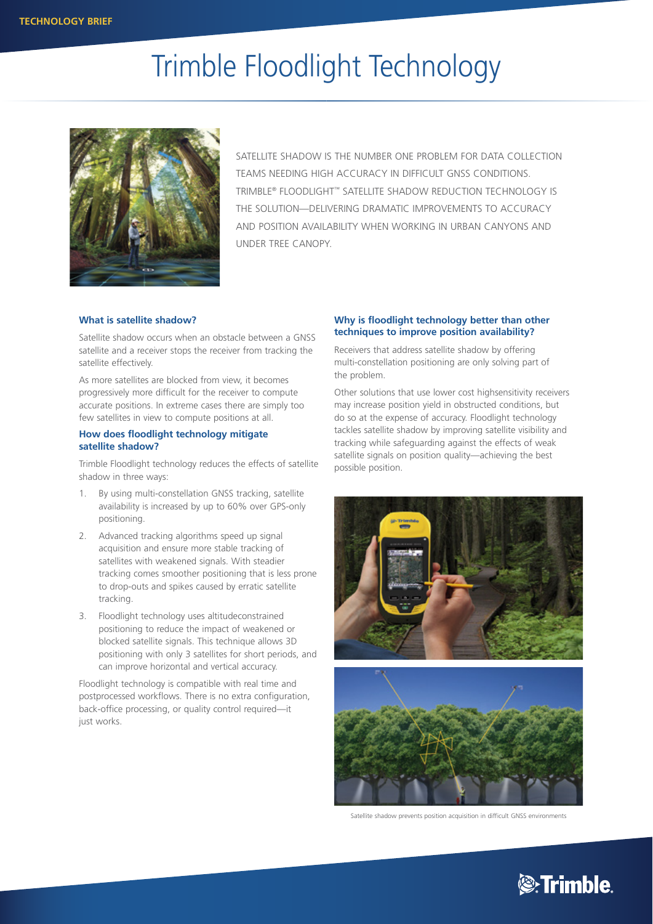# Trimble Floodlight Technology



SATELLITE SHADOW IS THE NUMBER ONE PROBLEM FOR DATA COLLECTION TEAMS NEEDING HIGH ACCURACY IN DIFFICULT GNSS CONDITIONS. TRIMBLE® FLOODLIGHT™ SATELLITE SHADOW REDUCTION TECHNOLOGY IS THE SOLUTION—DELIVERING DRAMATIC IMPROVEMENTS TO ACCURACY AND POSITION AVAILABILITY WHEN WORKING IN URBAN CANYONS AND UNDER TREE CANOPY.

# **What is satellite shadow?**

Satellite shadow occurs when an obstacle between a GNSS satellite and a receiver stops the receiver from tracking the satellite effectively.

As more satellites are blocked from view, it becomes progressively more difficult for the receiver to compute accurate positions. In extreme cases there are simply too few satellites in view to compute positions at all.

# **How does floodlight technology mitigate satellite shadow?**

Trimble Floodlight technology reduces the effects of satellite shadow in three ways:

- 1. By using multi-constellation GNSS tracking, satellite availability is increased by up to 60% over GPS-only positioning.
- 2. Advanced tracking algorithms speed up signal acquisition and ensure more stable tracking of satellites with weakened signals. With steadier tracking comes smoother positioning that is less prone to drop-outs and spikes caused by erratic satellite tracking.
- 3. Floodlight technology uses altitudeconstrained positioning to reduce the impact of weakened or blocked satellite signals. This technique allows 3D positioning with only 3 satellites for short periods, and can improve horizontal and vertical accuracy.

Floodlight technology is compatible with real time and postprocessed workflows. There is no extra configuration, back-office processing, or quality control required—it just works.

# **Why is floodlight technology better than other techniques to improve position availability?**

Receivers that address satellite shadow by offering multi-constellation positioning are only solving part of the problem.

Other solutions that use lower cost highsensitivity receivers may increase position yield in obstructed conditions, but do so at the expense of accuracy. Floodlight technology tackles satellite shadow by improving satellite visibility and tracking while safeguarding against the effects of weak satellite signals on position quality—achieving the best possible position.



Satellite shadow prevents position acquisition in difficult GNSS environments